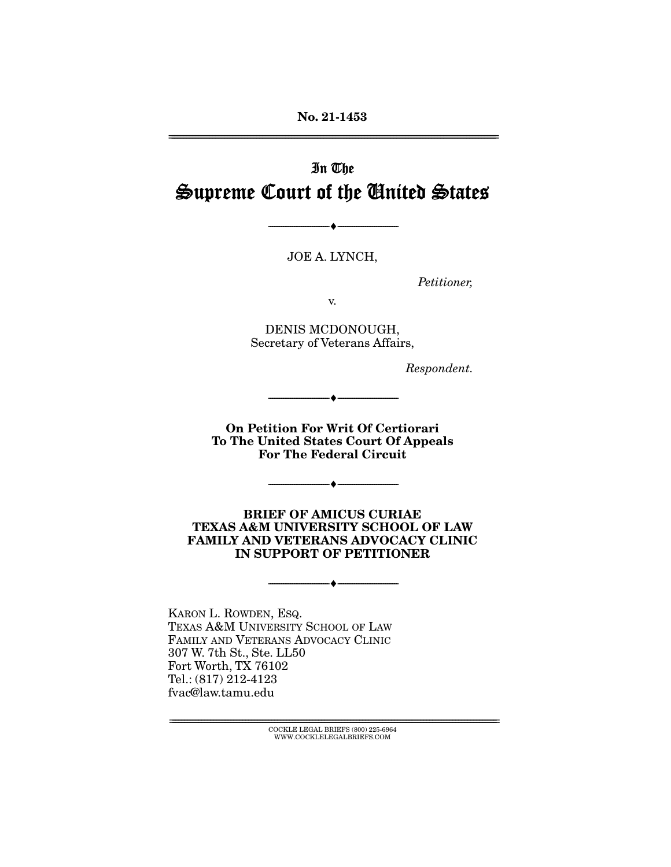**No. 21-1453**  ================================================================================================================

# In The Supreme Court of the United States

JOE A. LYNCH,

--------------------------------- ♦ ---------------------------------

Petitioner,

v.

DENIS MCDONOUGH, Secretary of Veterans Affairs,

Respondent.

**On Petition For Writ Of Certiorari To The United States Court Of Appeals For The Federal Circuit** 

--------------------------------- ♦ ---------------------------------

--------------------------------- ♦ ---------------------------------

**BRIEF OF AMICUS CURIAE TEXAS A&M UNIVERSITY SCHOOL OF LAW FAMILY AND VETERANS ADVOCACY CLINIC IN SUPPORT OF PETITIONER** 

--------------------------------- ♦ ---------------------------------

KARON L. ROWDEN, ESQ. TEXAS A&M UNIVERSITY SCHOOL OF LAW FAMILY AND VETERANS ADVOCACY CLINIC 307 W. 7th St., Ste. LL50 Fort Worth, TX 76102 Tel.: (817) 212-4123 fvac@law.tamu.edu

================================================================================================================ COCKLE LEGAL BRIEFS (800) 225-6964 WWW.COCKLELEGALBRIEFS.COM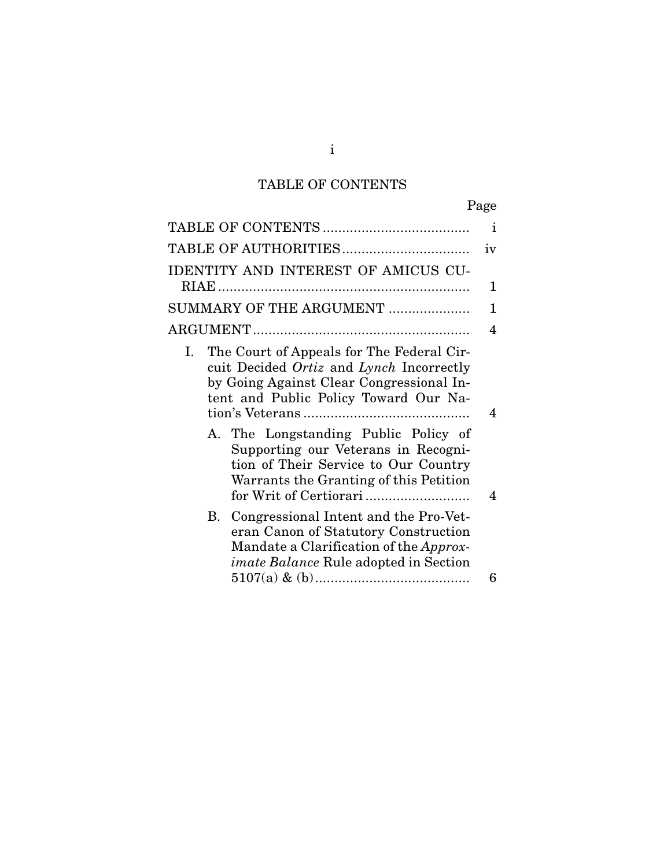# TABLE OF CONTENTS

|                                                                                                                                                                                         | Page |
|-----------------------------------------------------------------------------------------------------------------------------------------------------------------------------------------|------|
|                                                                                                                                                                                         | Ť    |
| TABLE OF AUTHORITIES                                                                                                                                                                    | iv   |
| IDENTITY AND INTEREST OF AMICUS CU-                                                                                                                                                     | 1    |
| SUMMARY OF THE ARGUMENT                                                                                                                                                                 | 1    |
|                                                                                                                                                                                         | 4    |
| The Court of Appeals for The Federal Cir-<br>Ι.<br>cuit Decided Ortiz and Lynch Incorrectly<br>by Going Against Clear Congressional In-<br>tent and Public Policy Toward Our Na-        | 4    |
| A. The Longstanding Public Policy of<br>Supporting our Veterans in Recogni-<br>tion of Their Service to Our Country<br>Warrants the Granting of this Petition<br>for Writ of Certiorari | 4    |
| B. Congressional Intent and the Pro-Vet-<br>eran Canon of Statutory Construction<br>Mandate a Clarification of the Approx-<br><i>imate Balance</i> Rule adopted in Section              | 6    |

i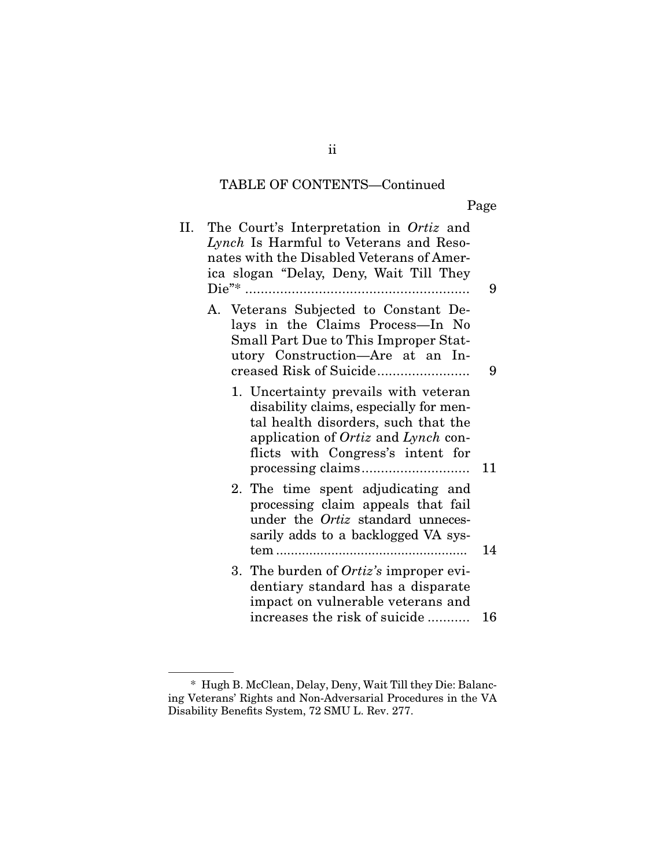### TABLE OF CONTENTS—Continued

Page

| Н. | The Court's Interpretation in Ortiz and<br>Lynch Is Harmful to Veterans and Reso-<br>nates with the Disabled Veterans of Amer-<br>ica slogan "Delay, Deny, Wait Till They                               | 9 |
|----|---------------------------------------------------------------------------------------------------------------------------------------------------------------------------------------------------------|---|
|    | A. Veterans Subjected to Constant De-<br>lays in the Claims Process-In No<br>Small Part Due to This Improper Stat-<br>utory Construction-Are at an In-                                                  | 9 |
|    | 1. Uncertainty prevails with veteran<br>disability claims, especially for men-<br>tal health disorders, such that the<br>application of Ortiz and Lynch con-<br>flicts with Congress's intent for<br>11 |   |
|    | 2. The time spent adjudicating and<br>processing claim appeals that fail<br>under the Ortiz standard unneces-<br>sarily adds to a backlogged VA sys-<br>14                                              |   |
|    | 3. The burden of <i>Ortiz's</i> improper evi-<br>dentiary standard has a disparate<br>impact on vulnerable veterans and<br>increases the risk of suicide<br>16                                          |   |

ii

 <sup>\*</sup> Hugh B. McClean, Delay, Deny, Wait Till they Die: Balancing Veterans' Rights and Non-Adversarial Procedures in the VA Disability Benefits System, 72 SMU L. Rev. 277.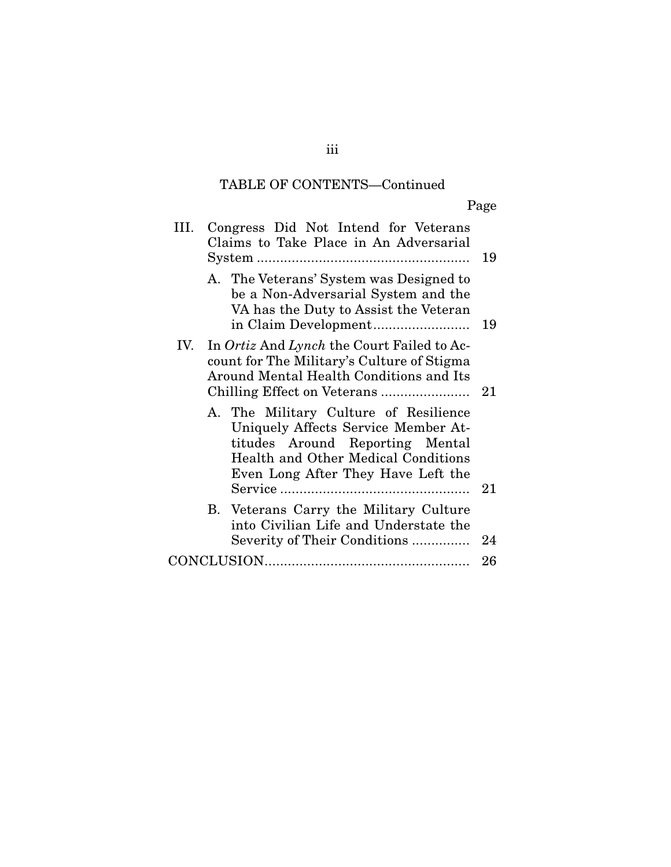# TABLE OF CONTENTS—Continued

Page

| III. | Congress Did Not Intend for Veterans<br>Claims to Take Place in An Adversarial                                                                                                                      | 19 |
|------|-----------------------------------------------------------------------------------------------------------------------------------------------------------------------------------------------------|----|
|      | A. The Veterans' System was Designed to<br>be a Non-Adversarial System and the<br>VA has the Duty to Assist the Veteran                                                                             | 19 |
| IV.  | In Ortiz And Lynch the Court Failed to Ac-<br>count for The Military's Culture of Stigma<br>Around Mental Health Conditions and Its                                                                 |    |
|      | A. The Military Culture of Resilience<br>Uniquely Affects Service Member At-<br>titudes Around Reporting Mental<br><b>Health and Other Medical Conditions</b><br>Even Long After They Have Left the | 21 |
|      | B. Veterans Carry the Military Culture<br>into Civilian Life and Understate the<br>Severity of Their Conditions                                                                                     | 24 |
|      |                                                                                                                                                                                                     | 26 |

iii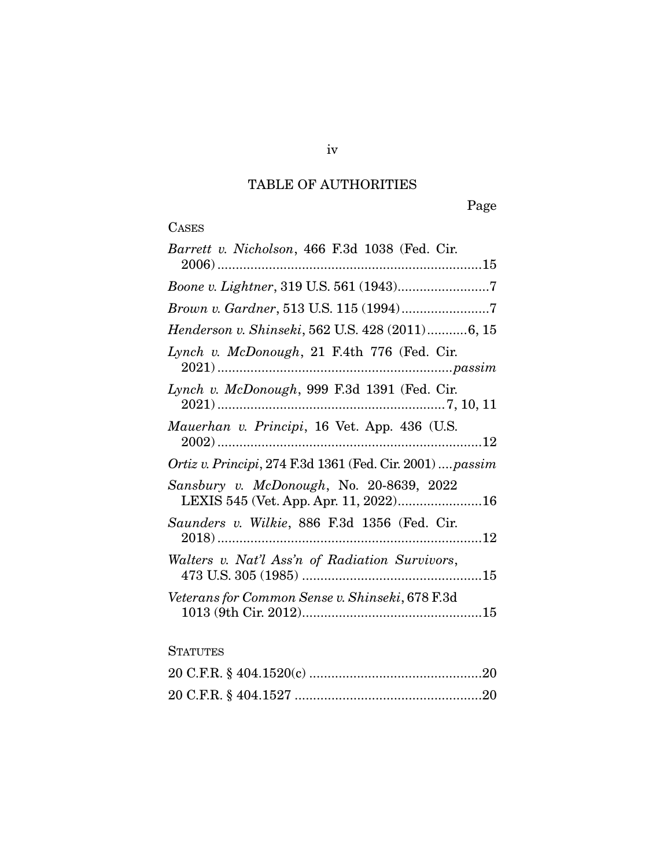# TABLE OF AUTHORITIES

Page

# **CASES**

### **STATUTES**

iv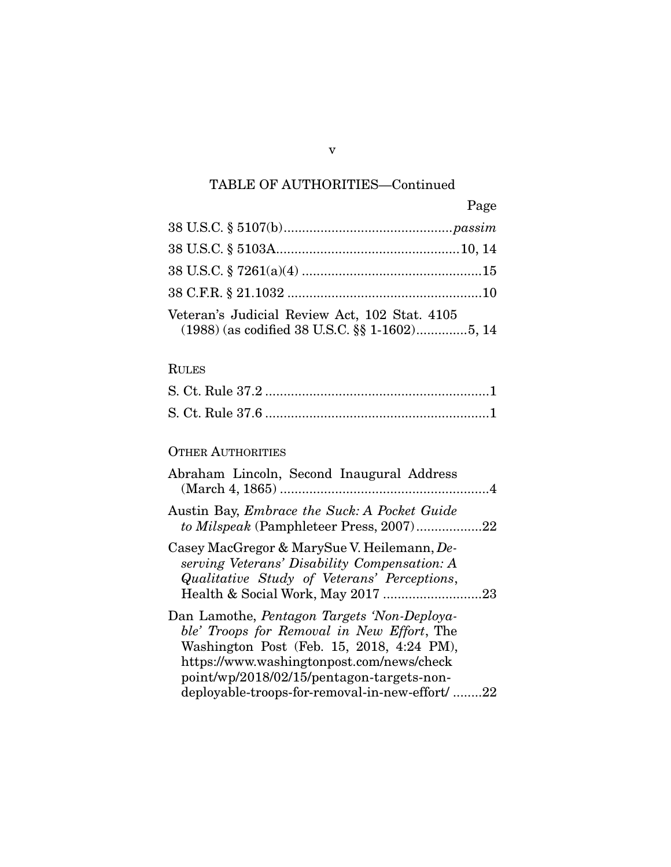# TABLE OF AUTHORITIES—Continued

|                                                                                                | Page |
|------------------------------------------------------------------------------------------------|------|
|                                                                                                |      |
|                                                                                                |      |
|                                                                                                |      |
|                                                                                                |      |
| Veteran's Judicial Review Act, 102 Stat. 4105<br>(1988) (as codified 38 U.S.C. §§ 1-1602)5, 14 |      |

### RULES

### OTHER AUTHORITIES

| Abraham Lincoln, Second Inaugural Address                                                                                                                                                                                                                                                 |  |
|-------------------------------------------------------------------------------------------------------------------------------------------------------------------------------------------------------------------------------------------------------------------------------------------|--|
| Austin Bay, <i>Embrace the Suck: A Pocket Guide</i><br>to Milspeak (Pamphleteer Press, 2007)22                                                                                                                                                                                            |  |
| Casey MacGregor & MarySue V. Heilemann, De-<br>serving Veterans' Disability Compensation: A<br>Qualitative Study of Veterans' Perceptions,                                                                                                                                                |  |
| Dan Lamothe, <i>Pentagon Targets 'Non-Deploya-</i><br>ble' Troops for Removal in New Effort, The<br>Washington Post (Feb. 15, 2018, 4:24 PM),<br>https://www.washingtonpost.com/news/check<br>point/wp/2018/02/15/pentagon-targets-non-<br>deployable-troops-for-removal-in-new-effort/22 |  |

v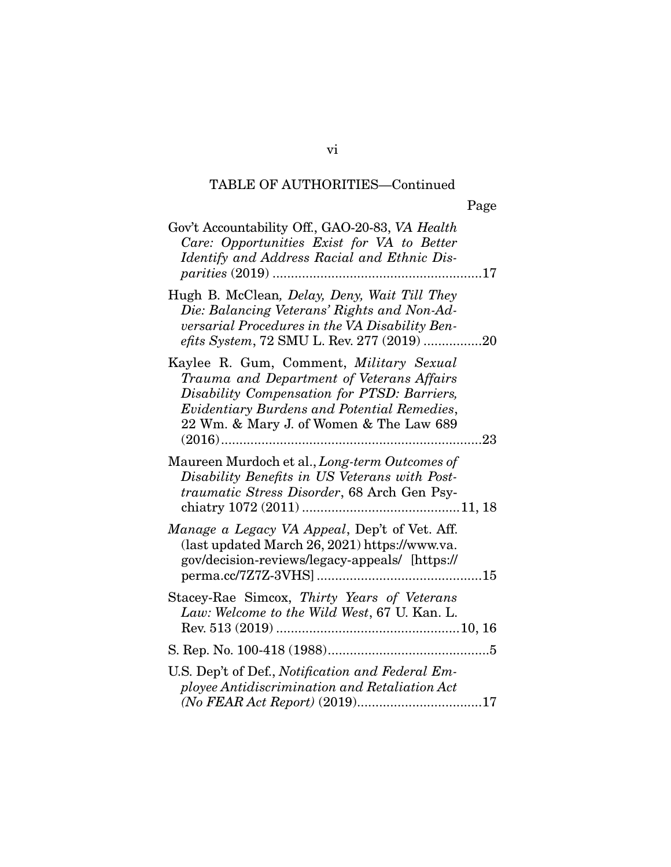# TABLE OF AUTHORITIES—Continued

vi

| Gov't Accountability Off., GAO-20-83, VA Health<br>Care: Opportunities Exist for VA to Better<br>Identify and Address Racial and Ethnic Dis-                                                                                         |  |
|--------------------------------------------------------------------------------------------------------------------------------------------------------------------------------------------------------------------------------------|--|
| Hugh B. McClean, Delay, Deny, Wait Till They<br>Die: Balancing Veterans' Rights and Non-Ad-<br>versarial Procedures in the VA Disability Ben-<br>efits System, 72 SMU L. Rev. 277 (2019) 20                                          |  |
| Kaylee R. Gum, Comment, Military Sexual<br>Trauma and Department of Veterans Affairs<br>Disability Compensation for PTSD: Barriers,<br><b>Evidentiary Burdens and Potential Remedies,</b><br>22 Wm. & Mary J. of Women & The Law 689 |  |
| Maureen Murdoch et al., Long-term Outcomes of<br>Disability Benefits in US Veterans with Post-<br>traumatic Stress Disorder, 68 Arch Gen Psy-                                                                                        |  |
| Manage a Legacy VA Appeal, Dep't of Vet. Aff.<br>(last updated March 26, 2021) https://www.va.<br>gov/decision-reviews/legacy-appeals/ [https://                                                                                     |  |
| Stacey-Rae Simcox, Thirty Years of Veterans<br>Law: Welcome to the Wild West, 67 U. Kan. L.                                                                                                                                          |  |
|                                                                                                                                                                                                                                      |  |
| U.S. Dep't of Def., Notification and Federal Em-<br>ployee Antidiscrimination and Retaliation Act                                                                                                                                    |  |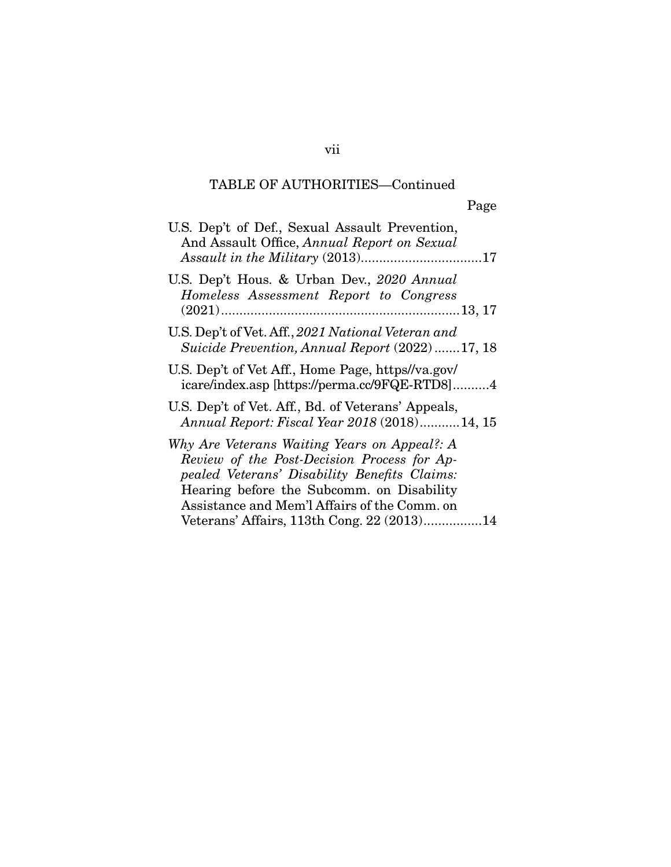# TABLE OF AUTHORITIES—Continued

| U.S. Dep't of Def., Sexual Assault Prevention,<br>And Assault Office, Annual Report on Sexual<br>Assault in the Military (2013)17                                                                                                        |
|------------------------------------------------------------------------------------------------------------------------------------------------------------------------------------------------------------------------------------------|
| U.S. Dep't Hous. & Urban Dev., 2020 Annual<br>Homeless Assessment Report to Congress                                                                                                                                                     |
| U.S. Dep't of Vet. Aff., 2021 National Veteran and<br>Suicide Prevention, Annual Report (2022)17, 18                                                                                                                                     |
| U.S. Dep't of Vet Aff., Home Page, https://va.gov/<br>icare/index.asp [https://perma.cc/9FQE-RTD8]4                                                                                                                                      |
| U.S. Dep't of Vet. Aff., Bd. of Veterans' Appeals,<br>Annual Report: Fiscal Year 2018 (2018)14, 15                                                                                                                                       |
| Why Are Veterans Waiting Years on Appeal?: A<br>Review of the Post-Decision Process for Ap-<br>pealed Veterans' Disability Benefits Claims:<br>Hearing before the Subcomm. on Disability<br>Assistance and Mem'l Affairs of the Comm. on |
| Veterans' Affairs, 113th Cong. 22 (2013)14                                                                                                                                                                                               |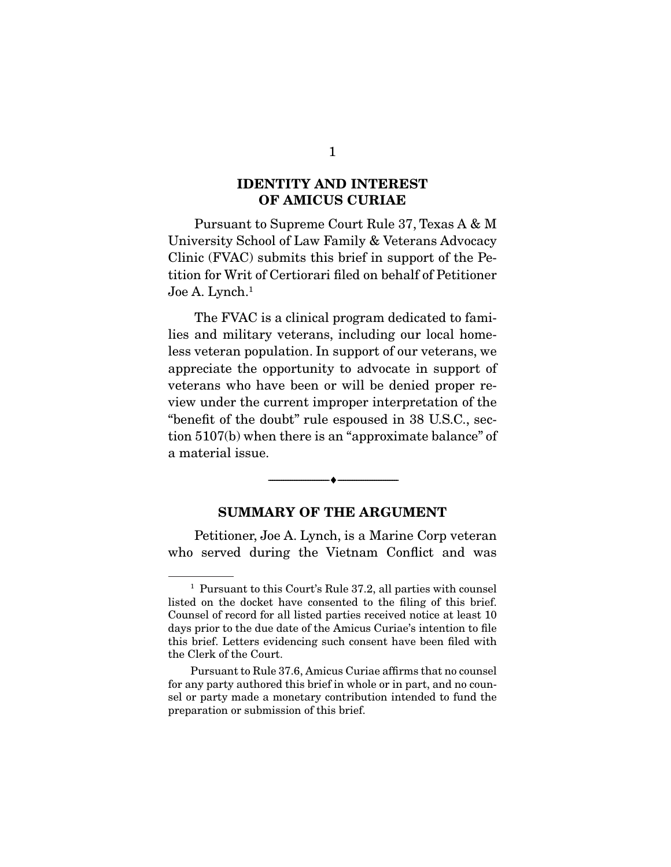### **IDENTITY AND INTEREST OF AMICUS CURIAE**

 Pursuant to Supreme Court Rule 37, Texas A & M University School of Law Family & Veterans Advocacy Clinic (FVAC) submits this brief in support of the Petition for Writ of Certiorari filed on behalf of Petitioner Joe A. Lynch.<sup>1</sup>

 The FVAC is a clinical program dedicated to families and military veterans, including our local homeless veteran population. In support of our veterans, we appreciate the opportunity to advocate in support of veterans who have been or will be denied proper review under the current improper interpretation of the "benefit of the doubt" rule espoused in 38 U.S.C., section 5107(b) when there is an "approximate balance" of a material issue.

#### **SUMMARY OF THE ARGUMENT**

--------------------------------- ♦ ---------------------------------

 Petitioner, Joe A. Lynch, is a Marine Corp veteran who served during the Vietnam Conflict and was

<sup>&</sup>lt;sup>1</sup> Pursuant to this Court's Rule 37.2, all parties with counsel listed on the docket have consented to the filing of this brief. Counsel of record for all listed parties received notice at least 10 days prior to the due date of the Amicus Curiae's intention to file this brief. Letters evidencing such consent have been filed with the Clerk of the Court.

Pursuant to Rule 37.6, Amicus Curiae affirms that no counsel for any party authored this brief in whole or in part, and no counsel or party made a monetary contribution intended to fund the preparation or submission of this brief.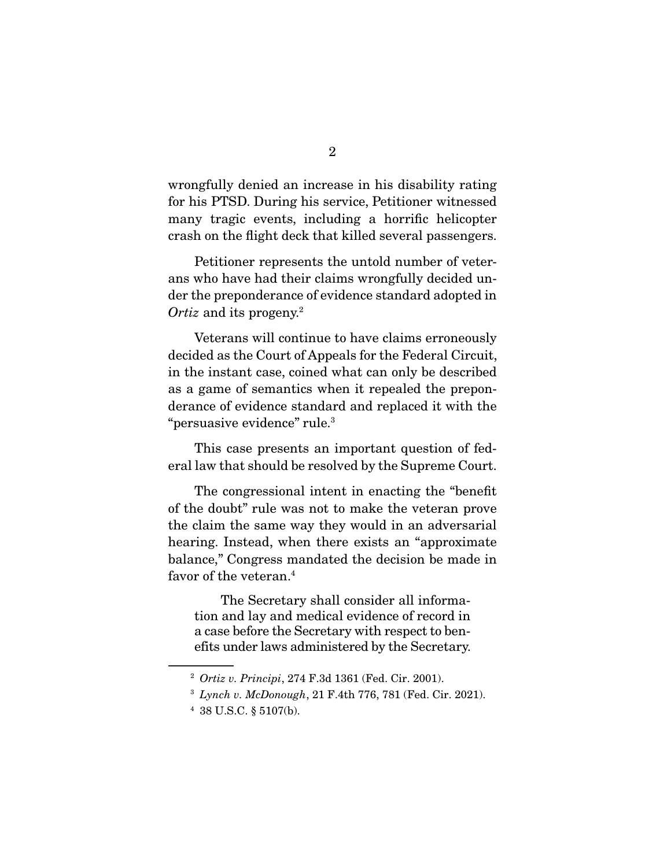wrongfully denied an increase in his disability rating for his PTSD. During his service, Petitioner witnessed many tragic events, including a horrific helicopter crash on the flight deck that killed several passengers.

 Petitioner represents the untold number of veterans who have had their claims wrongfully decided under the preponderance of evidence standard adopted in Ortiz and its progeny.<sup>2</sup>

 Veterans will continue to have claims erroneously decided as the Court of Appeals for the Federal Circuit, in the instant case, coined what can only be described as a game of semantics when it repealed the preponderance of evidence standard and replaced it with the "persuasive evidence" rule.3

 This case presents an important question of federal law that should be resolved by the Supreme Court.

 The congressional intent in enacting the "benefit of the doubt" rule was not to make the veteran prove the claim the same way they would in an adversarial hearing. Instead, when there exists an "approximate balance," Congress mandated the decision be made in favor of the veteran.<sup>4</sup>

 The Secretary shall consider all information and lay and medical evidence of record in a case before the Secretary with respect to benefits under laws administered by the Secretary.

<sup>2</sup> Ortiz v. Principi, 274 F.3d 1361 (Fed. Cir. 2001).

 $3$  Lynch v. McDonough, 21 F.4th 776, 781 (Fed. Cir. 2021).

<sup>4</sup> 38 U.S.C. § 5107(b).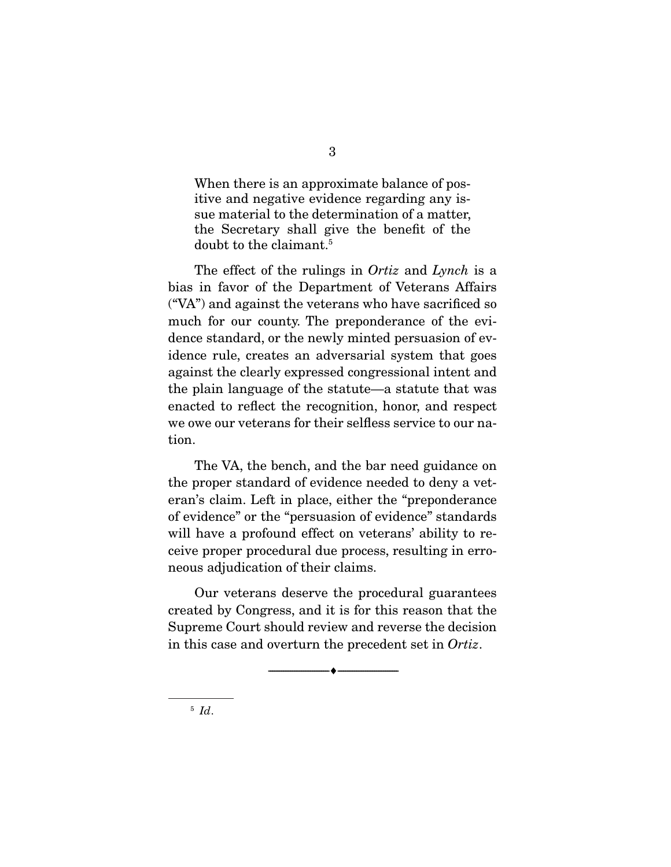When there is an approximate balance of positive and negative evidence regarding any issue material to the determination of a matter, the Secretary shall give the benefit of the doubt to the claimant.<sup>5</sup>

The effect of the rulings in *Ortiz* and *Lynch* is a bias in favor of the Department of Veterans Affairs ("VA") and against the veterans who have sacrificed so much for our county. The preponderance of the evidence standard, or the newly minted persuasion of evidence rule, creates an adversarial system that goes against the clearly expressed congressional intent and the plain language of the statute—a statute that was enacted to reflect the recognition, honor, and respect we owe our veterans for their selfless service to our nation.

 The VA, the bench, and the bar need guidance on the proper standard of evidence needed to deny a veteran's claim. Left in place, either the "preponderance of evidence" or the "persuasion of evidence" standards will have a profound effect on veterans' ability to receive proper procedural due process, resulting in erroneous adjudication of their claims.

 Our veterans deserve the procedural guarantees created by Congress, and it is for this reason that the Supreme Court should review and reverse the decision in this case and overturn the precedent set in Ortiz.

--------------------------------- ♦ ---------------------------------

 $5$  Id.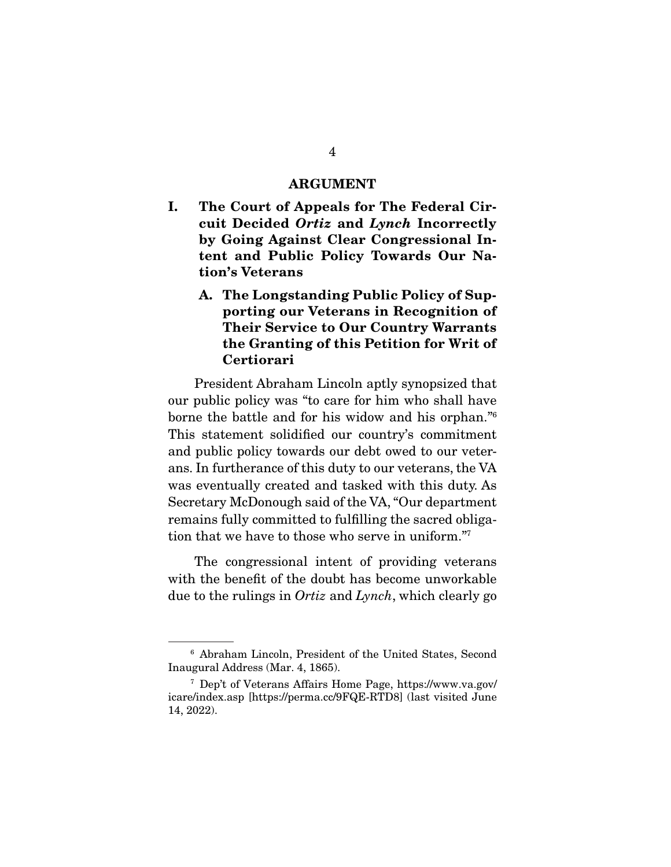#### **ARGUMENT**

- **I. The Court of Appeals for The Federal Circuit Decided** *Ortiz* **and** *Lynch* **Incorrectly by Going Against Clear Congressional Intent and Public Policy Towards Our Nation's Veterans** 
	- **A. The Longstanding Public Policy of Supporting our Veterans in Recognition of Their Service to Our Country Warrants the Granting of this Petition for Writ of Certiorari**

 President Abraham Lincoln aptly synopsized that our public policy was "to care for him who shall have borne the battle and for his widow and his orphan."6 This statement solidified our country's commitment and public policy towards our debt owed to our veterans. In furtherance of this duty to our veterans, the VA was eventually created and tasked with this duty. As Secretary McDonough said of the VA, "Our department remains fully committed to fulfilling the sacred obligation that we have to those who serve in uniform."7

 The congressional intent of providing veterans with the benefit of the doubt has become unworkable due to the rulings in Ortiz and Lynch, which clearly go

<sup>6</sup> Abraham Lincoln, President of the United States, Second Inaugural Address (Mar. 4, 1865).

<sup>7</sup> Dep't of Veterans Affairs Home Page, https://www.va.gov/ icare/index.asp [https://perma.cc/9FQE-RTD8] (last visited June 14, 2022).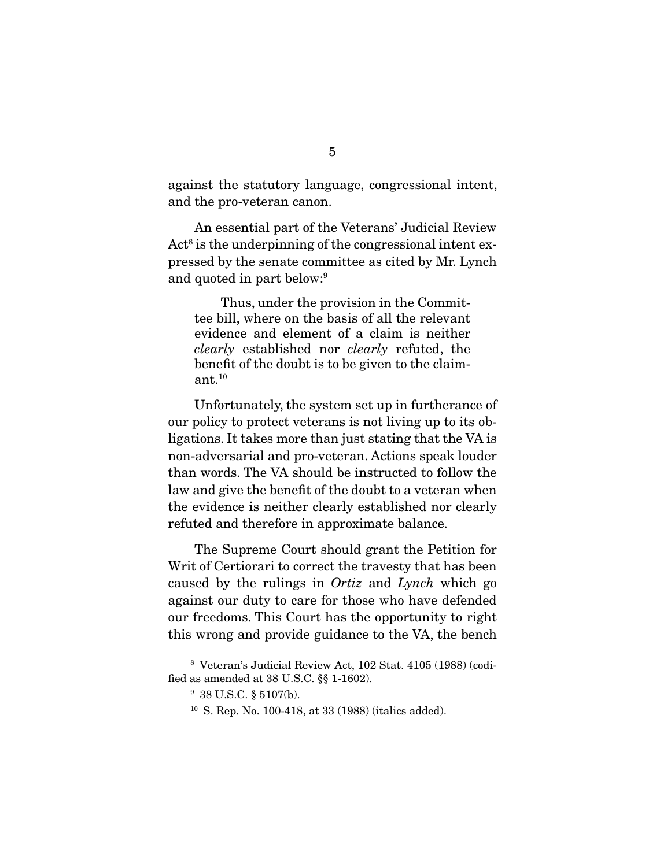against the statutory language, congressional intent, and the pro-veteran canon.

 An essential part of the Veterans' Judicial Review Act<sup>8</sup> is the underpinning of the congressional intent expressed by the senate committee as cited by Mr. Lynch and quoted in part below:9

 Thus, under the provision in the Committee bill, where on the basis of all the relevant evidence and element of a claim is neither clearly established nor clearly refuted, the benefit of the doubt is to be given to the claimant.10

 Unfortunately, the system set up in furtherance of our policy to protect veterans is not living up to its obligations. It takes more than just stating that the VA is non-adversarial and pro-veteran. Actions speak louder than words. The VA should be instructed to follow the law and give the benefit of the doubt to a veteran when the evidence is neither clearly established nor clearly refuted and therefore in approximate balance.

 The Supreme Court should grant the Petition for Writ of Certiorari to correct the travesty that has been caused by the rulings in Ortiz and Lynch which go against our duty to care for those who have defended our freedoms. This Court has the opportunity to right this wrong and provide guidance to the VA, the bench

<sup>8</sup> Veteran's Judicial Review Act, 102 Stat. 4105 (1988) (codified as amended at 38 U.S.C. §§ 1-1602).

<sup>9</sup> 38 U.S.C. § 5107(b).

<sup>10</sup> S. Rep. No. 100-418, at 33 (1988) (italics added).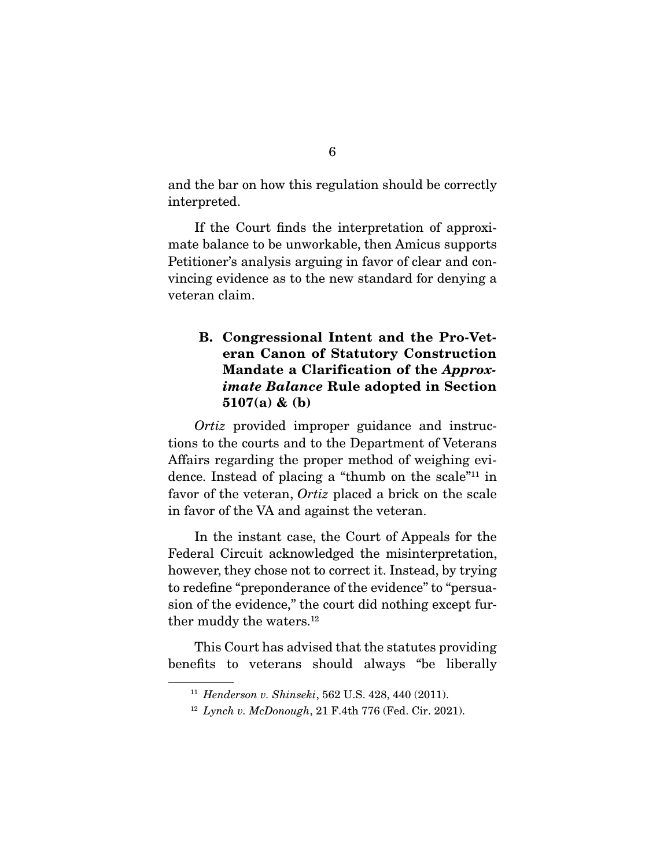and the bar on how this regulation should be correctly interpreted.

 If the Court finds the interpretation of approximate balance to be unworkable, then Amicus supports Petitioner's analysis arguing in favor of clear and convincing evidence as to the new standard for denying a veteran claim.

### **B. Congressional Intent and the Pro-Veteran Canon of Statutory Construction Mandate a Clarification of the** *Approximate Balance* **Rule adopted in Section 5107(a) & (b)**

Ortiz provided improper guidance and instructions to the courts and to the Department of Veterans Affairs regarding the proper method of weighing evidence. Instead of placing a "thumb on the scale"11 in favor of the veteran, *Ortiz* placed a brick on the scale in favor of the VA and against the veteran.

 In the instant case, the Court of Appeals for the Federal Circuit acknowledged the misinterpretation, however, they chose not to correct it. Instead, by trying to redefine "preponderance of the evidence" to "persuasion of the evidence," the court did nothing except further muddy the waters.<sup>12</sup>

 This Court has advised that the statutes providing benefits to veterans should always "be liberally

<sup>11</sup> Henderson v. Shinseki, 562 U.S. 428, 440 (2011).

 $12$  Lynch v. McDonough, 21 F.4th 776 (Fed. Cir. 2021).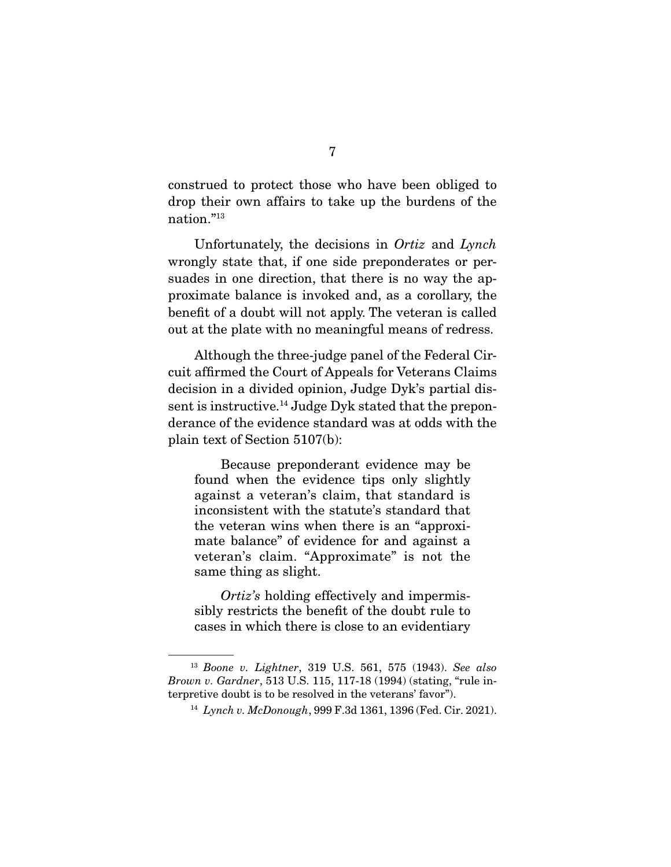construed to protect those who have been obliged to drop their own affairs to take up the burdens of the nation."13

 Unfortunately, the decisions in Ortiz and Lynch wrongly state that, if one side preponderates or persuades in one direction, that there is no way the approximate balance is invoked and, as a corollary, the benefit of a doubt will not apply. The veteran is called out at the plate with no meaningful means of redress.

 Although the three-judge panel of the Federal Circuit affirmed the Court of Appeals for Veterans Claims decision in a divided opinion, Judge Dyk's partial dissent is instructive.14 Judge Dyk stated that the preponderance of the evidence standard was at odds with the plain text of Section 5107(b):

 Because preponderant evidence may be found when the evidence tips only slightly against a veteran's claim, that standard is inconsistent with the statute's standard that the veteran wins when there is an "approximate balance" of evidence for and against a veteran's claim. "Approximate" is not the same thing as slight.

Ortiz's holding effectively and impermissibly restricts the benefit of the doubt rule to cases in which there is close to an evidentiary

<sup>13</sup> Boone v. Lightner, 319 U.S. 561, 575 (1943). See also Brown v. Gardner, 513 U.S. 115, 117-18 (1994) (stating, "rule interpretive doubt is to be resolved in the veterans' favor").

<sup>14</sup> Lynch v. McDonough, 999 F.3d 1361, 1396 (Fed. Cir. 2021).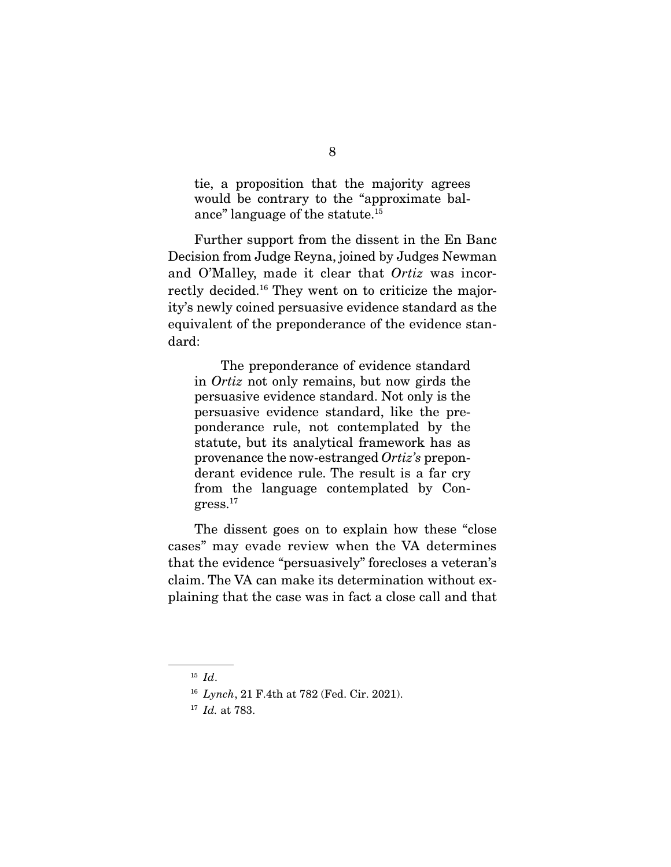tie, a proposition that the majority agrees would be contrary to the "approximate balance" language of the statute.15

 Further support from the dissent in the En Banc Decision from Judge Reyna, joined by Judges Newman and O'Malley, made it clear that Ortiz was incorrectly decided.16 They went on to criticize the majority's newly coined persuasive evidence standard as the equivalent of the preponderance of the evidence standard:

 The preponderance of evidence standard in Ortiz not only remains, but now girds the persuasive evidence standard. Not only is the persuasive evidence standard, like the preponderance rule, not contemplated by the statute, but its analytical framework has as provenance the now-estranged Ortiz's preponderant evidence rule. The result is a far cry from the language contemplated by Congress.17

 The dissent goes on to explain how these "close cases" may evade review when the VA determines that the evidence "persuasively" forecloses a veteran's claim. The VA can make its determination without explaining that the case was in fact a close call and that

 $15$  *Id.* 

<sup>16</sup> Lynch, 21 F.4th at 782 (Fed. Cir. 2021).

 $17$  *Id.* at 783.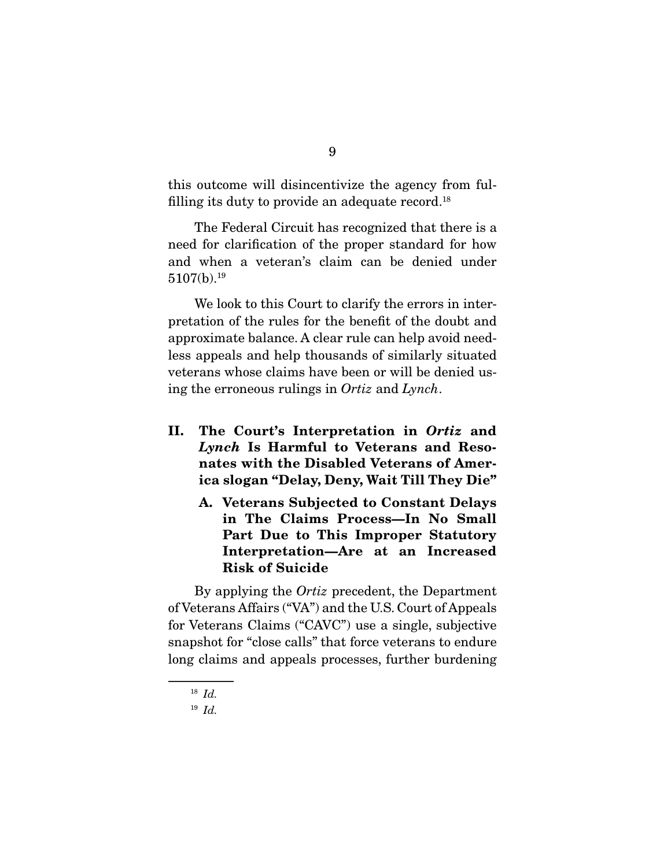this outcome will disincentivize the agency from fulfilling its duty to provide an adequate record.18

 The Federal Circuit has recognized that there is a need for clarification of the proper standard for how and when a veteran's claim can be denied under 5107(b).19

 We look to this Court to clarify the errors in interpretation of the rules for the benefit of the doubt and approximate balance. A clear rule can help avoid needless appeals and help thousands of similarly situated veterans whose claims have been or will be denied using the erroneous rulings in Ortiz and Lynch.

- **II. The Court's Interpretation in** *Ortiz* **and**  *Lynch* **Is Harmful to Veterans and Resonates with the Disabled Veterans of America slogan "Delay, Deny, Wait Till They Die"** 
	- **A. Veterans Subjected to Constant Delays in The Claims Process—In No Small Part Due to This Improper Statutory Interpretation—Are at an Increased Risk of Suicide**

 By applying the Ortiz precedent, the Department of Veterans Affairs ("VA") and the U.S. Court of Appeals for Veterans Claims ("CAVC") use a single, subjective snapshot for "close calls" that force veterans to endure long claims and appeals processes, further burdening

 $18$  *Id.* 

<sup>19</sup> Id.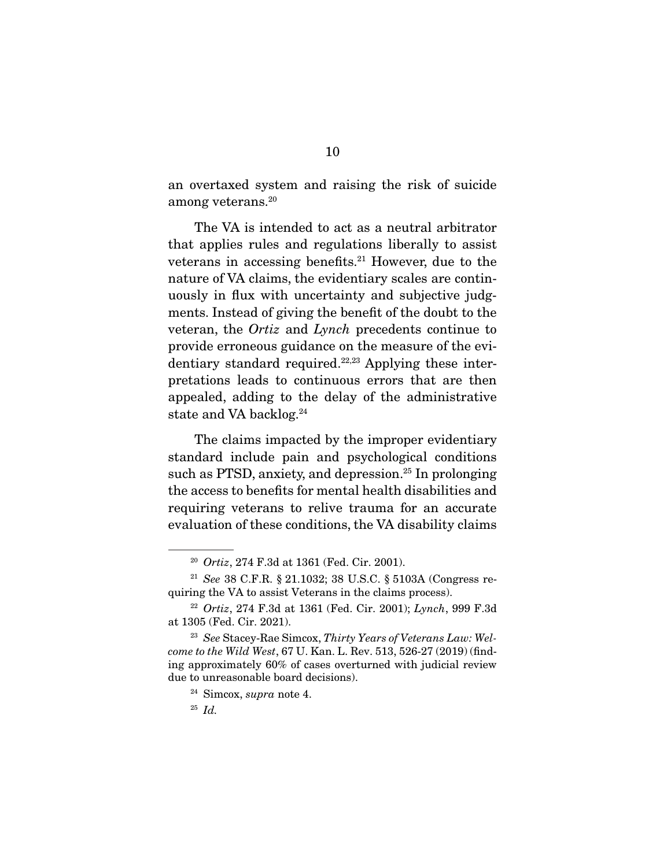an overtaxed system and raising the risk of suicide among veterans.20

 The VA is intended to act as a neutral arbitrator that applies rules and regulations liberally to assist veterans in accessing benefits.21 However, due to the nature of VA claims, the evidentiary scales are continuously in flux with uncertainty and subjective judgments. Instead of giving the benefit of the doubt to the veteran, the Ortiz and Lynch precedents continue to provide erroneous guidance on the measure of the evidentiary standard required.22,23 Applying these interpretations leads to continuous errors that are then appealed, adding to the delay of the administrative state and VA backlog.<sup>24</sup>

 The claims impacted by the improper evidentiary standard include pain and psychological conditions such as PTSD, anxiety, and depression.<sup>25</sup> In prolonging the access to benefits for mental health disabilities and requiring veterans to relive trauma for an accurate evaluation of these conditions, the VA disability claims

<sup>20</sup> Ortiz, 274 F.3d at 1361 (Fed. Cir. 2001).

<sup>21</sup> See 38 C.F.R. § 21.1032; 38 U.S.C. § 5103A (Congress requiring the VA to assist Veterans in the claims process).

<sup>&</sup>lt;sup>22</sup> Ortiz, 274 F.3d at 1361 (Fed. Cir. 2001);  $L$ *ynch*, 999 F.3d at 1305 (Fed. Cir. 2021).

<sup>&</sup>lt;sup>23</sup> See Stacey-Rae Simcox, Thirty Years of Veterans Law: Welcome to the Wild West, 67 U. Kan. L. Rev. 513, 526-27 (2019) (finding approximately 60% of cases overturned with judicial review due to unreasonable board decisions).

 $24$  Simcox, *supra* note 4.

 $^{25}$  *Id.*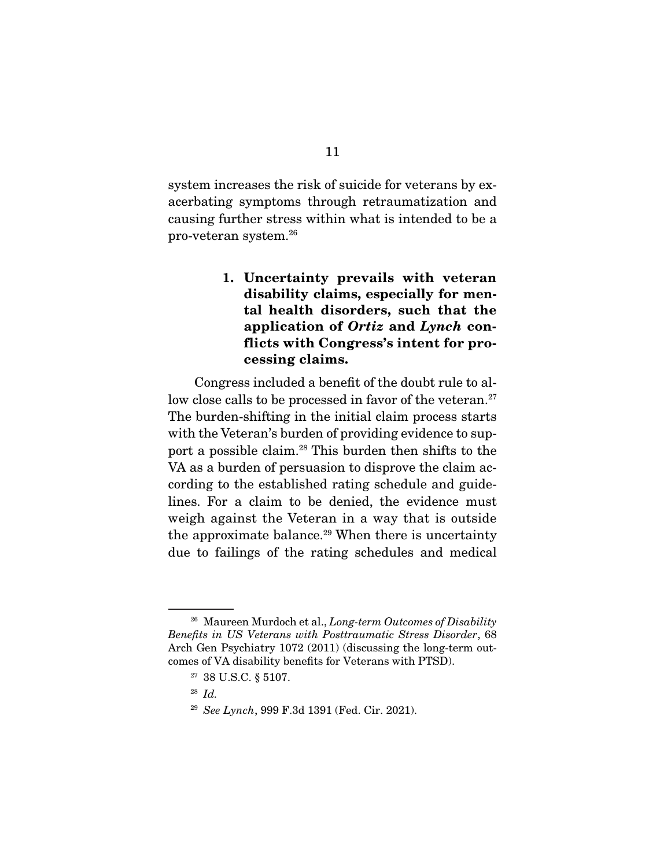system increases the risk of suicide for veterans by exacerbating symptoms through retraumatization and causing further stress within what is intended to be a pro-veteran system.26

> **1. Uncertainty prevails with veteran disability claims, especially for mental health disorders, such that the application of** *Ortiz* **and** *Lynch* **conflicts with Congress's intent for processing claims.**

 Congress included a benefit of the doubt rule to allow close calls to be processed in favor of the veteran.<sup>27</sup> The burden-shifting in the initial claim process starts with the Veteran's burden of providing evidence to support a possible claim.28 This burden then shifts to the VA as a burden of persuasion to disprove the claim according to the established rating schedule and guidelines. For a claim to be denied, the evidence must weigh against the Veteran in a way that is outside the approximate balance.<sup>29</sup> When there is uncertainty due to failings of the rating schedules and medical

<sup>&</sup>lt;sup>26</sup> Maureen Murdoch et al., *Long-term Outcomes of Disability* Benefits in US Veterans with Posttraumatic Stress Disorder, 68 Arch Gen Psychiatry 1072 (2011) (discussing the long-term outcomes of VA disability benefits for Veterans with PTSD).

<sup>27</sup> 38 U.S.C. § 5107.

 $28$  *Id.* 

<sup>29</sup> See Lynch, 999 F.3d 1391 (Fed. Cir. 2021).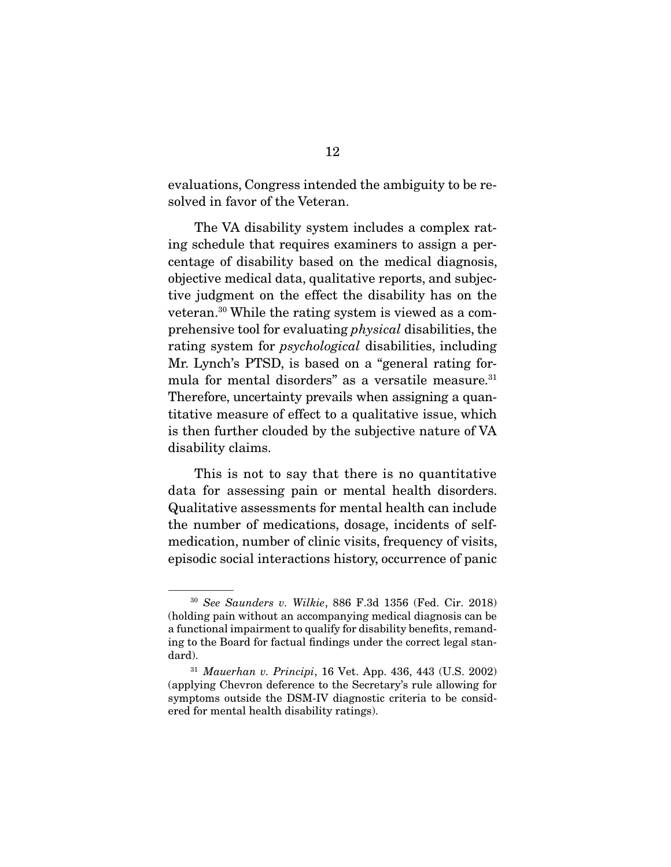evaluations, Congress intended the ambiguity to be resolved in favor of the Veteran.

 The VA disability system includes a complex rating schedule that requires examiners to assign a percentage of disability based on the medical diagnosis, objective medical data, qualitative reports, and subjective judgment on the effect the disability has on the veteran.30 While the rating system is viewed as a comprehensive tool for evaluating physical disabilities, the rating system for psychological disabilities, including Mr. Lynch's PTSD, is based on a "general rating formula for mental disorders" as a versatile measure.<sup>31</sup> Therefore, uncertainty prevails when assigning a quantitative measure of effect to a qualitative issue, which is then further clouded by the subjective nature of VA disability claims.

 This is not to say that there is no quantitative data for assessing pain or mental health disorders. Qualitative assessments for mental health can include the number of medications, dosage, incidents of selfmedication, number of clinic visits, frequency of visits, episodic social interactions history, occurrence of panic

<sup>30</sup> See Saunders v. Wilkie, 886 F.3d 1356 (Fed. Cir. 2018) (holding pain without an accompanying medical diagnosis can be a functional impairment to qualify for disability benefits, remanding to the Board for factual findings under the correct legal standard).

 $31$  *Mauerhan v. Principi*, 16 Vet. App. 436, 443 (U.S. 2002) (applying Chevron deference to the Secretary's rule allowing for symptoms outside the DSM-IV diagnostic criteria to be considered for mental health disability ratings).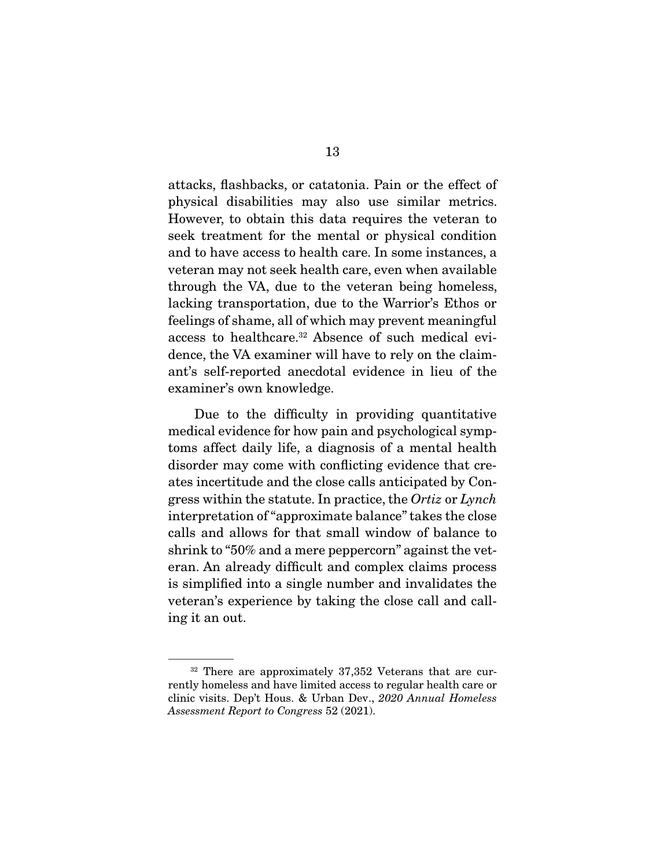attacks, flashbacks, or catatonia. Pain or the effect of physical disabilities may also use similar metrics. However, to obtain this data requires the veteran to seek treatment for the mental or physical condition and to have access to health care. In some instances, a veteran may not seek health care, even when available through the VA, due to the veteran being homeless, lacking transportation, due to the Warrior's Ethos or feelings of shame, all of which may prevent meaningful access to healthcare.32 Absence of such medical evidence, the VA examiner will have to rely on the claimant's self-reported anecdotal evidence in lieu of the examiner's own knowledge.

 Due to the difficulty in providing quantitative medical evidence for how pain and psychological symptoms affect daily life, a diagnosis of a mental health disorder may come with conflicting evidence that creates incertitude and the close calls anticipated by Congress within the statute. In practice, the Ortiz or Lynch interpretation of "approximate balance" takes the close calls and allows for that small window of balance to shrink to "50% and a mere peppercorn" against the veteran. An already difficult and complex claims process is simplified into a single number and invalidates the veteran's experience by taking the close call and calling it an out.

<sup>&</sup>lt;sup>32</sup> There are approximately 37,352 Veterans that are currently homeless and have limited access to regular health care or clinic visits. Dep't Hous. & Urban Dev., 2020 Annual Homeless Assessment Report to Congress 52 (2021).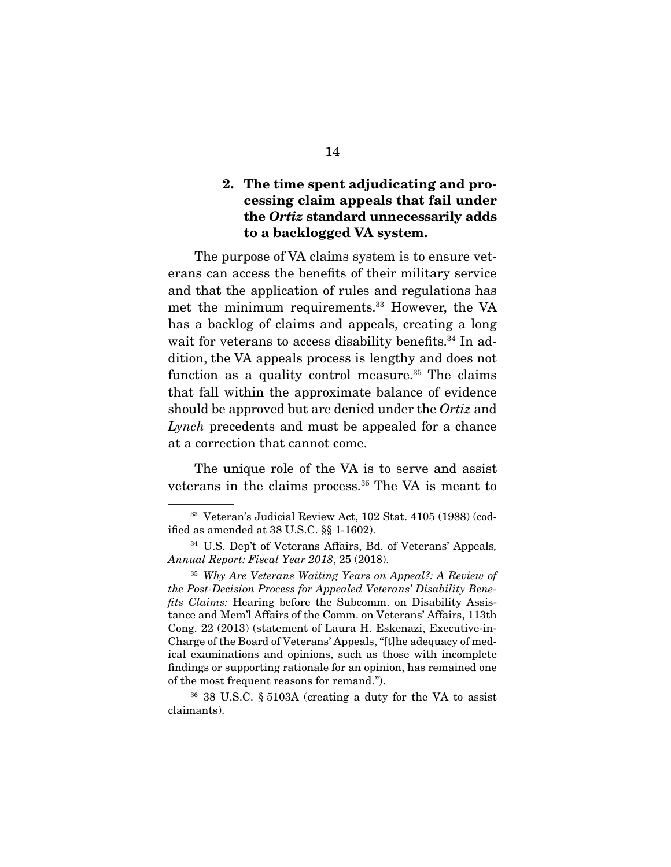### **2. The time spent adjudicating and processing claim appeals that fail under the** *Ortiz* **standard unnecessarily adds to a backlogged VA system.**

 The purpose of VA claims system is to ensure veterans can access the benefits of their military service and that the application of rules and regulations has met the minimum requirements.33 However, the VA has a backlog of claims and appeals, creating a long wait for veterans to access disability benefits.<sup>34</sup> In addition, the VA appeals process is lengthy and does not function as a quality control measure.<sup>35</sup> The claims that fall within the approximate balance of evidence should be approved but are denied under the Ortiz and Lynch precedents and must be appealed for a chance at a correction that cannot come.

 The unique role of the VA is to serve and assist veterans in the claims process.<sup>36</sup> The VA is meant to

<sup>33</sup> Veteran's Judicial Review Act, 102 Stat. 4105 (1988) (codified as amended at 38 U.S.C. §§ 1-1602).

<sup>34</sup> U.S. Dep't of Veterans Affairs, Bd. of Veterans' Appeals, Annual Report: Fiscal Year 2018, 25 (2018).

<sup>35</sup> Why Are Veterans Waiting Years on Appeal?: A Review of the Post-Decision Process for Appealed Veterans' Disability Benefits Claims: Hearing before the Subcomm. on Disability Assistance and Mem'l Affairs of the Comm. on Veterans' Affairs, 113th Cong. 22 (2013) (statement of Laura H. Eskenazi, Executive-in-Charge of the Board of Veterans' Appeals, "[t]he adequacy of medical examinations and opinions, such as those with incomplete findings or supporting rationale for an opinion, has remained one of the most frequent reasons for remand.").

<sup>36</sup> 38 U.S.C. § 5103A (creating a duty for the VA to assist claimants).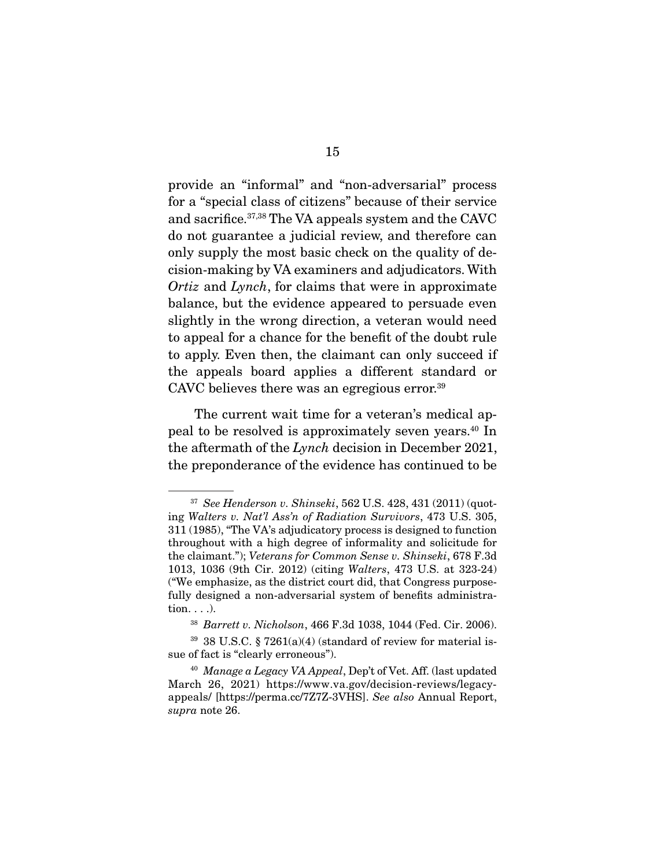provide an "informal" and "non-adversarial" process for a "special class of citizens" because of their service and sacrifice.37,38 The VA appeals system and the CAVC do not guarantee a judicial review, and therefore can only supply the most basic check on the quality of decision-making by VA examiners and adjudicators. With Ortiz and Lynch, for claims that were in approximate balance, but the evidence appeared to persuade even slightly in the wrong direction, a veteran would need to appeal for a chance for the benefit of the doubt rule to apply. Even then, the claimant can only succeed if the appeals board applies a different standard or CAVC believes there was an egregious error.<sup>39</sup>

 The current wait time for a veteran's medical appeal to be resolved is approximately seven years.40 In the aftermath of the Lynch decision in December 2021, the preponderance of the evidence has continued to be

 $37$  See Henderson v. Shinseki, 562 U.S. 428, 431 (2011) (quoting Walters v. Nat'l Ass'n of Radiation Survivors, 473 U.S. 305, 311 (1985), "The VA's adjudicatory process is designed to function throughout with a high degree of informality and solicitude for the claimant."); Veterans for Common Sense v. Shinseki, 678 F.3d 1013, 1036 (9th Cir. 2012) (citing Walters, 473 U.S. at 323-24) ("We emphasize, as the district court did, that Congress purposefully designed a non-adversarial system of benefits administration. . . .).

<sup>38</sup> Barrett v. Nicholson, 466 F.3d 1038, 1044 (Fed. Cir. 2006).

 $39\,$  38 U.S.C. § 7261(a)(4) (standard of review for material issue of fact is "clearly erroneous").

 $40$  Manage a Legacy VA Appeal, Dep't of Vet. Aff. (last updated March 26, 2021) https://www.va.gov/decision-reviews/legacyappeals/ [https://perma.cc/7Z7Z-3VHS]. See also Annual Report, supra note 26.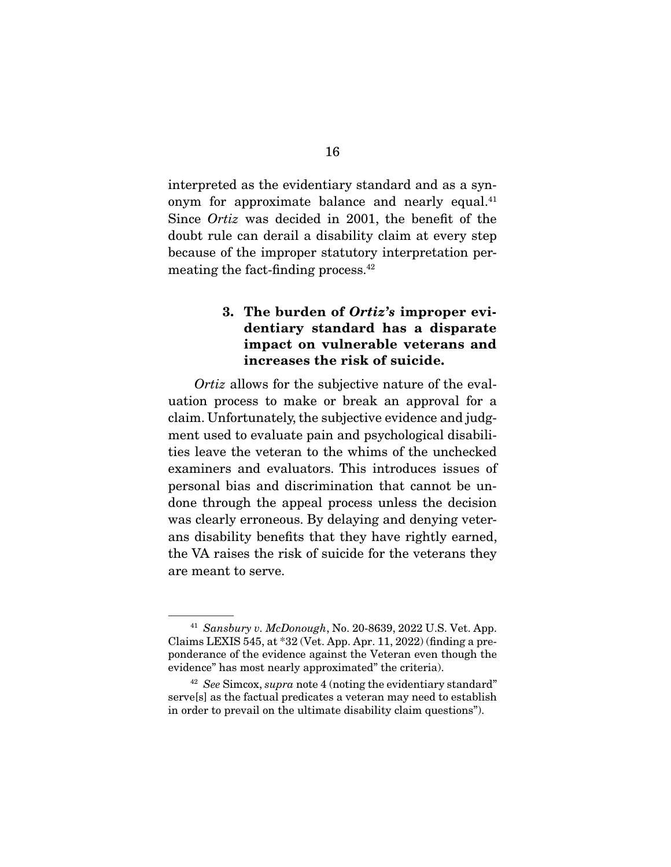interpreted as the evidentiary standard and as a synonym for approximate balance and nearly equal.<sup>41</sup> Since Ortiz was decided in 2001, the benefit of the doubt rule can derail a disability claim at every step because of the improper statutory interpretation permeating the fact-finding process.<sup>42</sup>

### **3. The burden of** *Ortiz's* **improper evidentiary standard has a disparate impact on vulnerable veterans and increases the risk of suicide.**

Ortiz allows for the subjective nature of the evaluation process to make or break an approval for a claim. Unfortunately, the subjective evidence and judgment used to evaluate pain and psychological disabilities leave the veteran to the whims of the unchecked examiners and evaluators. This introduces issues of personal bias and discrimination that cannot be undone through the appeal process unless the decision was clearly erroneous. By delaying and denying veterans disability benefits that they have rightly earned, the VA raises the risk of suicide for the veterans they are meant to serve.

 $41$  Sansbury v. McDonough, No. 20-8639, 2022 U.S. Vet. App. Claims LEXIS 545, at \*32 (Vet. App. Apr. 11, 2022) (finding a preponderance of the evidence against the Veteran even though the evidence" has most nearly approximated" the criteria).

 $42$  See Simcox, supra note 4 (noting the evidentiary standard" serve[s] as the factual predicates a veteran may need to establish in order to prevail on the ultimate disability claim questions").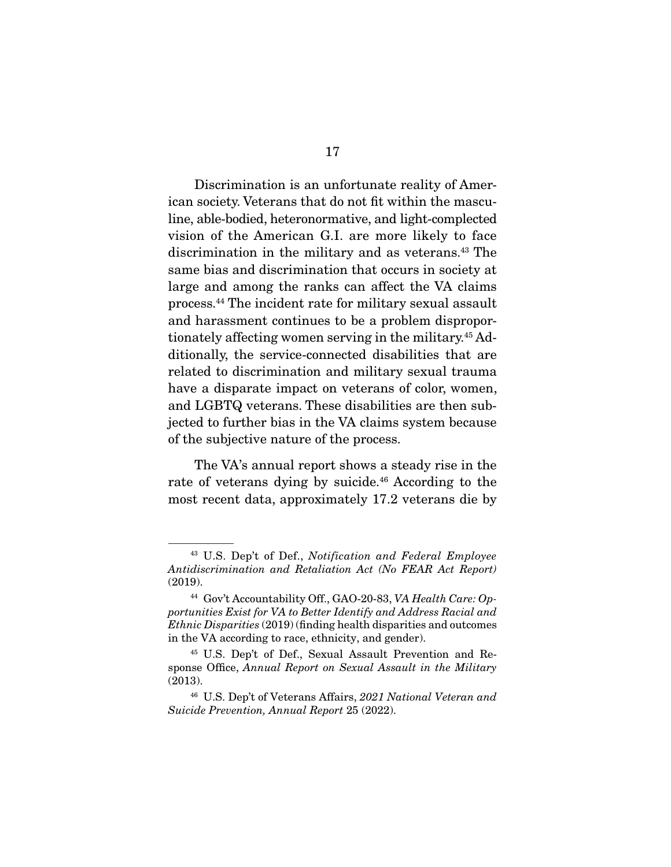Discrimination is an unfortunate reality of American society. Veterans that do not fit within the masculine, able-bodied, heteronormative, and light-complected vision of the American G.I. are more likely to face discrimination in the military and as veterans.43 The same bias and discrimination that occurs in society at large and among the ranks can affect the VA claims process.44 The incident rate for military sexual assault and harassment continues to be a problem disproportionately affecting women serving in the military.45 Additionally, the service-connected disabilities that are related to discrimination and military sexual trauma have a disparate impact on veterans of color, women, and LGBTQ veterans. These disabilities are then subjected to further bias in the VA claims system because of the subjective nature of the process.

 The VA's annual report shows a steady rise in the rate of veterans dying by suicide.<sup>46</sup> According to the most recent data, approximately 17.2 veterans die by

<sup>43</sup> U.S. Dep't of Def., Notification and Federal Employee Antidiscrimination and Retaliation Act (No FEAR Act Report) (2019).

<sup>&</sup>lt;sup>44</sup> Gov't Accountability Off., GAO-20-83, VA Health Care: Opportunities Exist for VA to Better Identify and Address Racial and Ethnic Disparities (2019) (finding health disparities and outcomes in the VA according to race, ethnicity, and gender).

<sup>45</sup> U.S. Dep't of Def., Sexual Assault Prevention and Response Office, Annual Report on Sexual Assault in the Military (2013).

<sup>&</sup>lt;sup>46</sup> U.S. Dep't of Veterans Affairs, 2021 National Veteran and Suicide Prevention, Annual Report 25 (2022).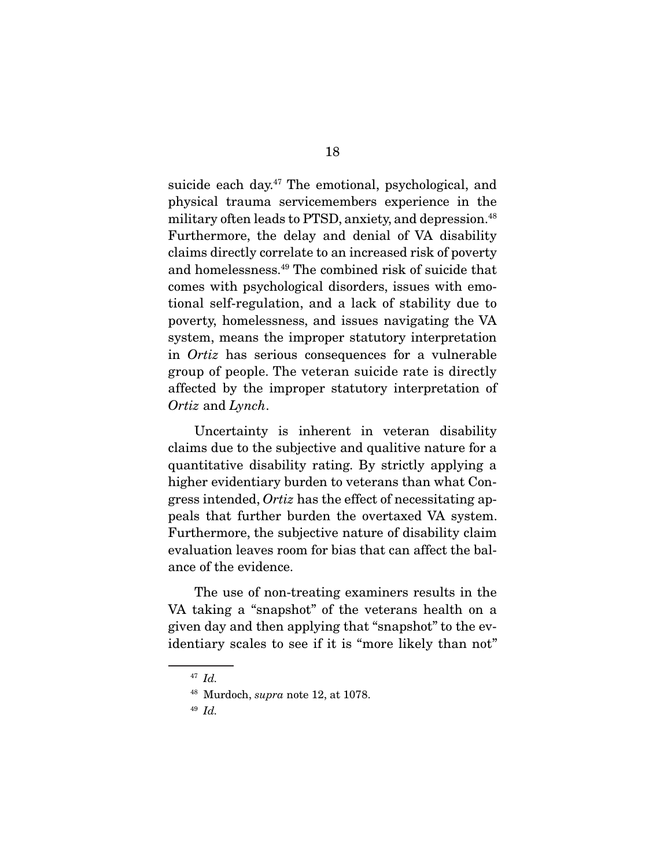suicide each day.<sup>47</sup> The emotional, psychological, and physical trauma servicemembers experience in the military often leads to PTSD, anxiety, and depression.<sup>48</sup> Furthermore, the delay and denial of VA disability claims directly correlate to an increased risk of poverty and homelessness.49 The combined risk of suicide that comes with psychological disorders, issues with emotional self-regulation, and a lack of stability due to poverty, homelessness, and issues navigating the VA system, means the improper statutory interpretation in Ortiz has serious consequences for a vulnerable group of people. The veteran suicide rate is directly affected by the improper statutory interpretation of Ortiz and Lynch.

 Uncertainty is inherent in veteran disability claims due to the subjective and qualitive nature for a quantitative disability rating. By strictly applying a higher evidentiary burden to veterans than what Congress intended, Ortiz has the effect of necessitating appeals that further burden the overtaxed VA system. Furthermore, the subjective nature of disability claim evaluation leaves room for bias that can affect the balance of the evidence.

 The use of non-treating examiners results in the VA taking a "snapshot" of the veterans health on a given day and then applying that "snapshot" to the evidentiary scales to see if it is "more likely than not"

<sup>47</sup> Id.

<sup>48</sup> Murdoch, supra note 12, at 1078.

<sup>49</sup> Id.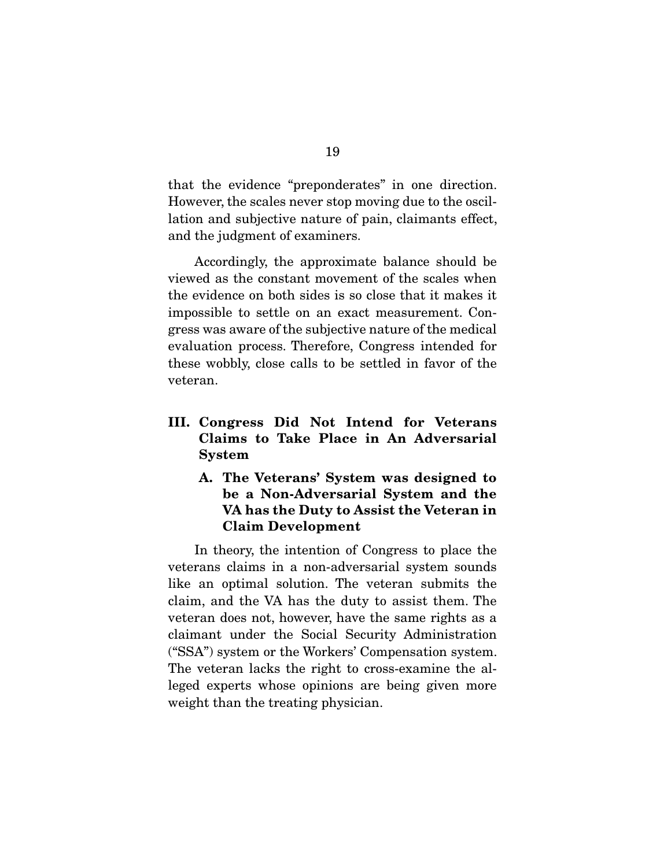that the evidence "preponderates" in one direction. However, the scales never stop moving due to the oscillation and subjective nature of pain, claimants effect, and the judgment of examiners.

 Accordingly, the approximate balance should be viewed as the constant movement of the scales when the evidence on both sides is so close that it makes it impossible to settle on an exact measurement. Congress was aware of the subjective nature of the medical evaluation process. Therefore, Congress intended for these wobbly, close calls to be settled in favor of the veteran.

- **III. Congress Did Not Intend for Veterans Claims to Take Place in An Adversarial System** 
	- **A. The Veterans' System was designed to be a Non-Adversarial System and the VA has the Duty to Assist the Veteran in Claim Development**

 In theory, the intention of Congress to place the veterans claims in a non-adversarial system sounds like an optimal solution. The veteran submits the claim, and the VA has the duty to assist them. The veteran does not, however, have the same rights as a claimant under the Social Security Administration ("SSA") system or the Workers' Compensation system. The veteran lacks the right to cross-examine the alleged experts whose opinions are being given more weight than the treating physician.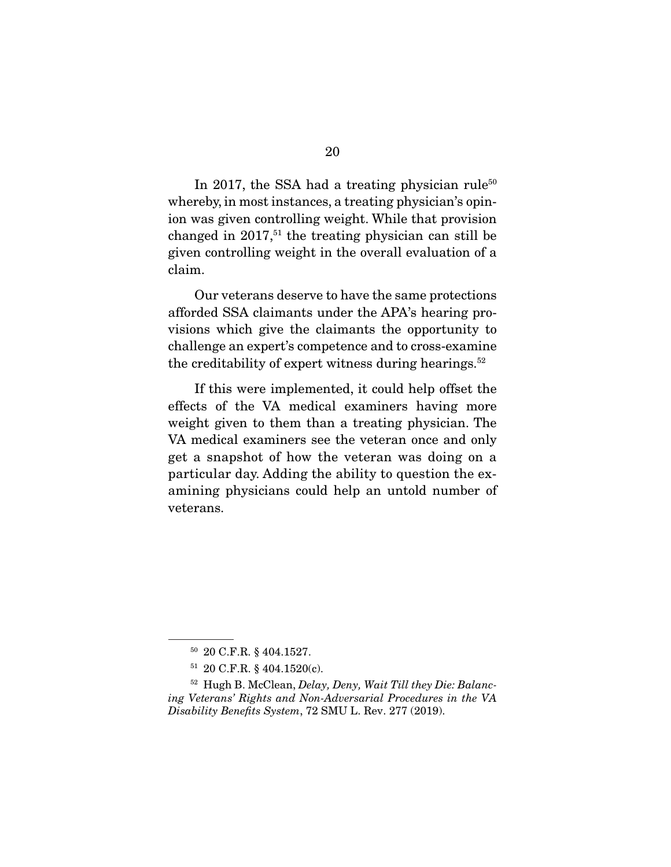In 2017, the SSA had a treating physician rule<sup>50</sup> whereby, in most instances, a treating physician's opinion was given controlling weight. While that provision changed in  $2017<sup>51</sup>$  the treating physician can still be given controlling weight in the overall evaluation of a claim.

 Our veterans deserve to have the same protections afforded SSA claimants under the APA's hearing provisions which give the claimants the opportunity to challenge an expert's competence and to cross-examine the creditability of expert witness during hearings. $52$ 

 If this were implemented, it could help offset the effects of the VA medical examiners having more weight given to them than a treating physician. The VA medical examiners see the veteran once and only get a snapshot of how the veteran was doing on a particular day. Adding the ability to question the examining physicians could help an untold number of veterans.

<sup>50</sup> 20 C.F.R. § 404.1527.

<sup>51</sup> 20 C.F.R. § 404.1520(c).

 $52$  Hugh B. McClean, Delay, Deny, Wait Till they Die: Balancing Veterans' Rights and Non-Adversarial Procedures in the VA Disability Benefits System, 72 SMU L. Rev. 277 (2019).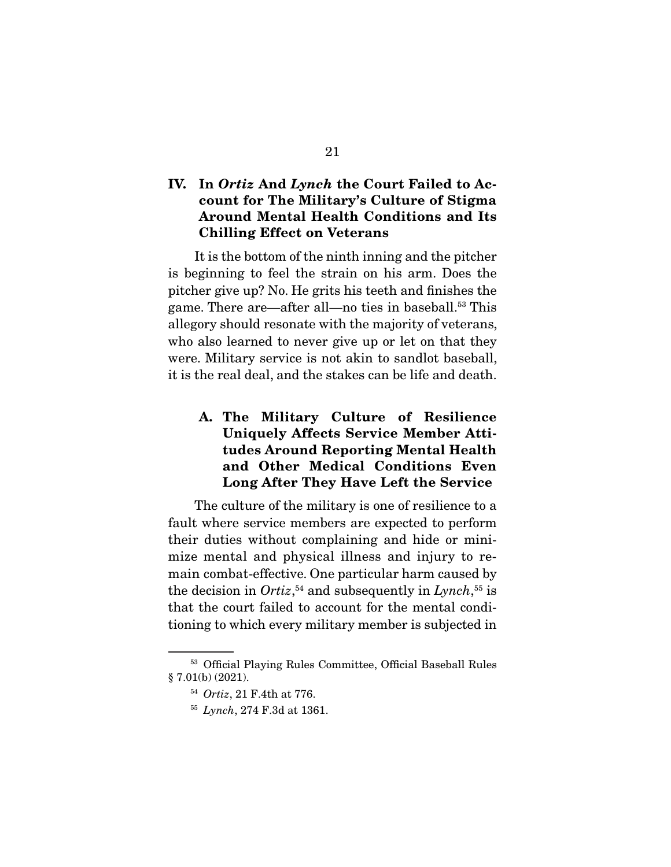### **IV. In** *Ortiz* **And** *Lynch* **the Court Failed to Account for The Military's Culture of Stigma Around Mental Health Conditions and Its Chilling Effect on Veterans**

 It is the bottom of the ninth inning and the pitcher is beginning to feel the strain on his arm. Does the pitcher give up? No. He grits his teeth and finishes the game. There are—after all—no ties in baseball.<sup>53</sup> This allegory should resonate with the majority of veterans, who also learned to never give up or let on that they were. Military service is not akin to sandlot baseball, it is the real deal, and the stakes can be life and death.

### **A. The Military Culture of Resilience Uniquely Affects Service Member Attitudes Around Reporting Mental Health and Other Medical Conditions Even Long After They Have Left the Service**

 The culture of the military is one of resilience to a fault where service members are expected to perform their duties without complaining and hide or minimize mental and physical illness and injury to remain combat-effective. One particular harm caused by the decision in *Ortiz*<sup>54</sup> and subsequently in *Lynch*<sup>55</sup> is that the court failed to account for the mental conditioning to which every military member is subjected in

<sup>53</sup> Official Playing Rules Committee, Official Baseball Rules § 7.01(b) (2021).

<sup>54</sup> Ortiz, 21 F.4th at 776.

<sup>55</sup> Lynch, 274 F.3d at 1361.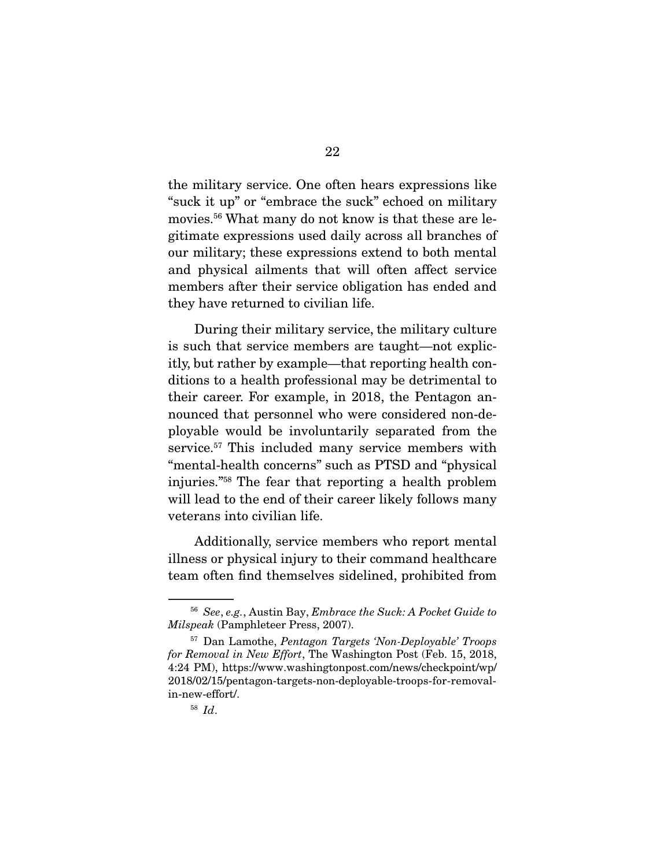the military service. One often hears expressions like "suck it up" or "embrace the suck" echoed on military movies.56 What many do not know is that these are legitimate expressions used daily across all branches of our military; these expressions extend to both mental and physical ailments that will often affect service members after their service obligation has ended and they have returned to civilian life.

 During their military service, the military culture is such that service members are taught—not explicitly, but rather by example—that reporting health conditions to a health professional may be detrimental to their career. For example, in 2018, the Pentagon announced that personnel who were considered non-deployable would be involuntarily separated from the service.<sup>57</sup> This included many service members with "mental-health concerns" such as PTSD and "physical injuries."58 The fear that reporting a health problem will lead to the end of their career likely follows many veterans into civilian life.

 Additionally, service members who report mental illness or physical injury to their command healthcare team often find themselves sidelined, prohibited from

 $56$  See, e.g., Austin Bay, Embrace the Suck: A Pocket Guide to Milspeak (Pamphleteer Press, 2007).

<sup>57</sup> Dan Lamothe, Pentagon Targets 'Non-Deployable' Troops for Removal in New Effort, The Washington Post (Feb. 15, 2018, 4:24 PM), https://www.washingtonpost.com/news/checkpoint/wp/ 2018/02/15/pentagon-targets-non-deployable-troops-for-removalin-new-effort/.

<sup>58</sup> Id.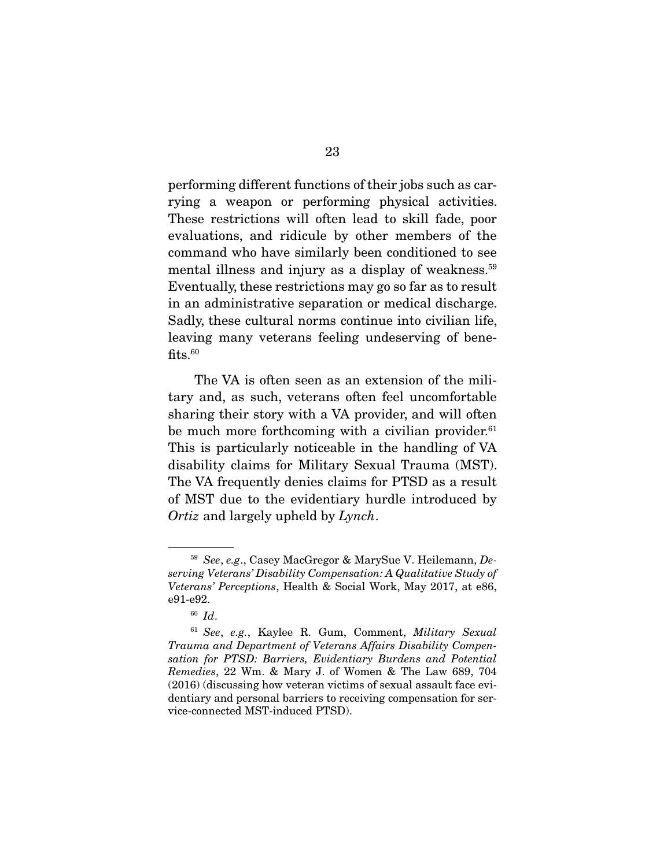performing different functions of their jobs such as carrying a weapon or performing physical activities. These restrictions will often lead to skill fade, poor evaluations, and ridicule by other members of the command who have similarly been conditioned to see mental illness and injury as a display of weakness.<sup>59</sup> Eventually, these restrictions may go so far as to result in an administrative separation or medical discharge. Sadly, these cultural norms continue into civilian life, leaving many veterans feeling undeserving of bene $fits.<sub>60</sub>$ 

 The VA is often seen as an extension of the military and, as such, veterans often feel uncomfortable sharing their story with a VA provider, and will often be much more forthcoming with a civilian provider. $61$ This is particularly noticeable in the handling of VA disability claims for Military Sexual Trauma (MST). The VA frequently denies claims for PTSD as a result of MST due to the evidentiary hurdle introduced by Ortiz and largely upheld by Lynch.

<sup>59</sup> See, e.g., Casey MacGregor & MarySue V. Heilemann, Deserving Veterans' Disability Compensation: A Qualitative Study of Veterans' Perceptions, Health & Social Work, May 2017, at e86, e91-e92.

 $60$  Id.

<sup>61</sup> See, e.g., Kaylee R. Gum, Comment, Military Sexual Trauma and Department of Veterans Affairs Disability Compensation for PTSD: Barriers, Evidentiary Burdens and Potential Remedies, 22 Wm. & Mary J. of Women & The Law 689, 704 (2016) (discussing how veteran victims of sexual assault face evidentiary and personal barriers to receiving compensation for service-connected MST-induced PTSD).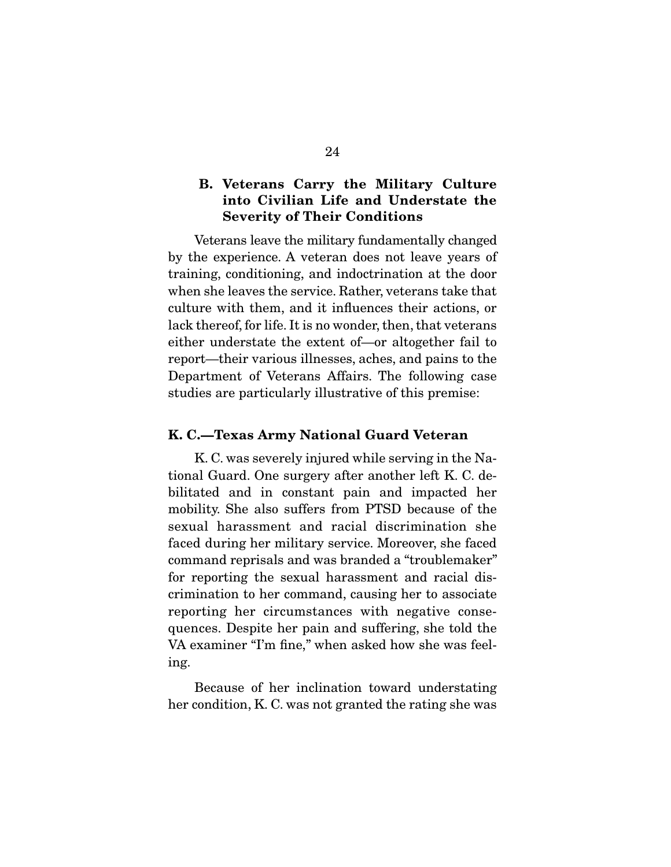### **B. Veterans Carry the Military Culture into Civilian Life and Understate the Severity of Their Conditions**

 Veterans leave the military fundamentally changed by the experience. A veteran does not leave years of training, conditioning, and indoctrination at the door when she leaves the service. Rather, veterans take that culture with them, and it influences their actions, or lack thereof, for life. It is no wonder, then, that veterans either understate the extent of—or altogether fail to report—their various illnesses, aches, and pains to the Department of Veterans Affairs. The following case studies are particularly illustrative of this premise:

#### **K. C.—Texas Army National Guard Veteran**

 K. C. was severely injured while serving in the National Guard. One surgery after another left K. C. debilitated and in constant pain and impacted her mobility. She also suffers from PTSD because of the sexual harassment and racial discrimination she faced during her military service. Moreover, she faced command reprisals and was branded a "troublemaker" for reporting the sexual harassment and racial discrimination to her command, causing her to associate reporting her circumstances with negative consequences. Despite her pain and suffering, she told the VA examiner "I'm fine," when asked how she was feeling.

 Because of her inclination toward understating her condition, K. C. was not granted the rating she was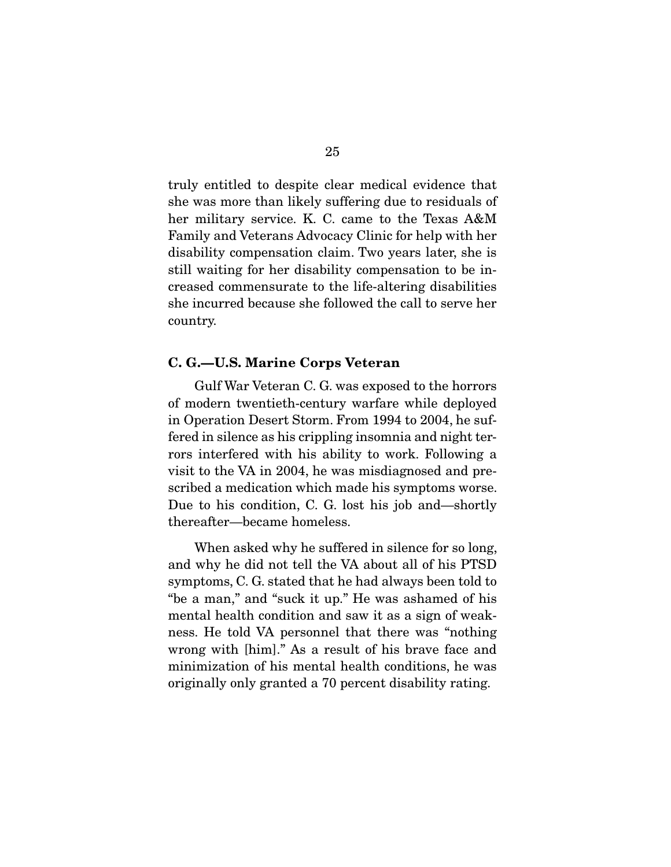truly entitled to despite clear medical evidence that she was more than likely suffering due to residuals of her military service. K. C. came to the Texas A&M Family and Veterans Advocacy Clinic for help with her disability compensation claim. Two years later, she is still waiting for her disability compensation to be increased commensurate to the life-altering disabilities she incurred because she followed the call to serve her country.

#### **C. G.—U.S. Marine Corps Veteran**

 Gulf War Veteran C. G. was exposed to the horrors of modern twentieth-century warfare while deployed in Operation Desert Storm. From 1994 to 2004, he suffered in silence as his crippling insomnia and night terrors interfered with his ability to work. Following a visit to the VA in 2004, he was misdiagnosed and prescribed a medication which made his symptoms worse. Due to his condition, C. G. lost his job and—shortly thereafter—became homeless.

 When asked why he suffered in silence for so long, and why he did not tell the VA about all of his PTSD symptoms, C. G. stated that he had always been told to "be a man," and "suck it up." He was ashamed of his mental health condition and saw it as a sign of weakness. He told VA personnel that there was "nothing wrong with [him]." As a result of his brave face and minimization of his mental health conditions, he was originally only granted a 70 percent disability rating.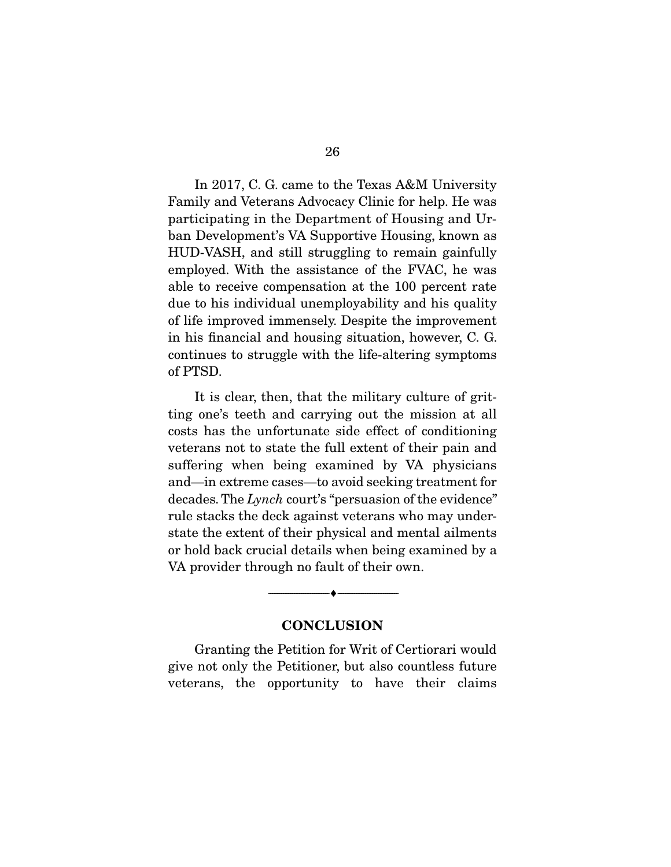In 2017, C. G. came to the Texas A&M University Family and Veterans Advocacy Clinic for help. He was participating in the Department of Housing and Urban Development's VA Supportive Housing, known as HUD-VASH, and still struggling to remain gainfully employed. With the assistance of the FVAC, he was able to receive compensation at the 100 percent rate due to his individual unemployability and his quality of life improved immensely. Despite the improvement in his financial and housing situation, however, C. G. continues to struggle with the life-altering symptoms of PTSD.

 It is clear, then, that the military culture of gritting one's teeth and carrying out the mission at all costs has the unfortunate side effect of conditioning veterans not to state the full extent of their pain and suffering when being examined by VA physicians and—in extreme cases—to avoid seeking treatment for decades. The Lynch court's "persuasion of the evidence" rule stacks the deck against veterans who may understate the extent of their physical and mental ailments or hold back crucial details when being examined by a VA provider through no fault of their own.

#### **CONCLUSION**

--------------------------------- ♦ ---------------------------------

 Granting the Petition for Writ of Certiorari would give not only the Petitioner, but also countless future veterans, the opportunity to have their claims